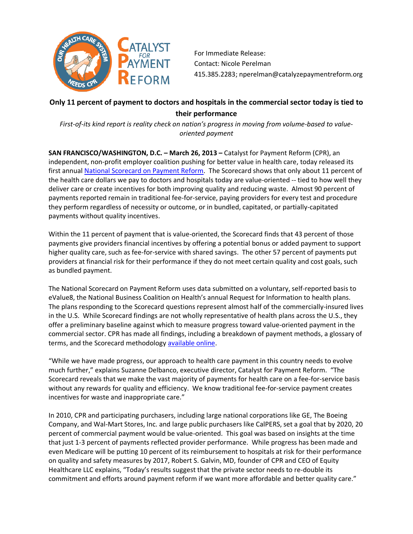

For Immediate Release: Contact: Nicole Perelman 415.385.2283; nperelman@catalyzepaymentreform.org

## **Only 11 percent of payment to doctors and hospitals in the commercial sector today is tied to their performance**

*First-of-its kind report is reality check on nation's progress in moving from volume-based to valueoriented payment*

**SAN FRANCISCO/WASHINGTON, D.C. – March 26, 2013 –** Catalyst for Payment Reform (CPR), an independent, non-profit employer coalition pushing for better value in health care, today released its first annual [National Scorecard on Payment Reform.](http://www.catalyzepaymentreform.org/how-we-catalyze/national-scorecard.) The Scorecard shows that only about 11 percent of the health care dollars we pay to doctors and hospitals today are value-oriented -- tied to how well they deliver care or create incentives for both improving quality and reducing waste. Almost 90 percent of payments reported remain in traditional fee-for-service, paying providers for every test and procedure they perform regardless of necessity or outcome, or in bundled, capitated, or partially-capitated payments without quality incentives.

Within the 11 percent of payment that is value-oriented, the Scorecard finds that 43 percent of those payments give providers financial incentives by offering a potential bonus or added payment to support higher quality care, such as fee-for-service with shared savings. The other 57 percent of payments put providers at financial risk for their performance if they do not meet certain quality and cost goals, such as bundled payment.

The National Scorecard on Payment Reform uses data submitted on a voluntary, self-reported basis to eValue8, the National Business Coalition on Health's annual Request for Information to health plans. The plans responding to the Scorecard questions represent almost half of the commercially-insured lives in the U.S. While Scorecard findings are not wholly representative of health plans across the U.S., they offer a preliminary baseline against which to measure progress toward value-oriented payment in the commercial sector. CPR has made all findings, including a breakdown of payment methods, a glossary of terms, and the Scorecard methodology [available online.](http://www.catalyzepaymentreform.org/how-we-catalyze/national-scorecard.)

"While we have made progress, our approach to health care payment in this country needs to evolve much further," explains Suzanne Delbanco, executive director, Catalyst for Payment Reform. "The Scorecard reveals that we make the vast majority of payments for health care on a fee-for-service basis without any rewards for quality and efficiency. We know traditional fee-for-service payment creates incentives for waste and inappropriate care."

In 2010, CPR and participating purchasers, including large national corporations like GE, The Boeing Company, and Wal-Mart Stores, Inc. and large public purchasers like CalPERS, set a goal that by 2020, 20 percent of commercial payment would be value-oriented. This goal was based on insights at the time that just 1-3 percent of payments reflected provider performance. While progress has been made and even Medicare will be putting 10 percent of its reimbursement to hospitals at risk for their performance on quality and safety measures by 2017, Robert S. Galvin, MD, founder of CPR and CEO of Equity Healthcare LLC explains, "Today's results suggest that the private sector needs to re-double its commitment and efforts around payment reform if we want more affordable and better quality care."